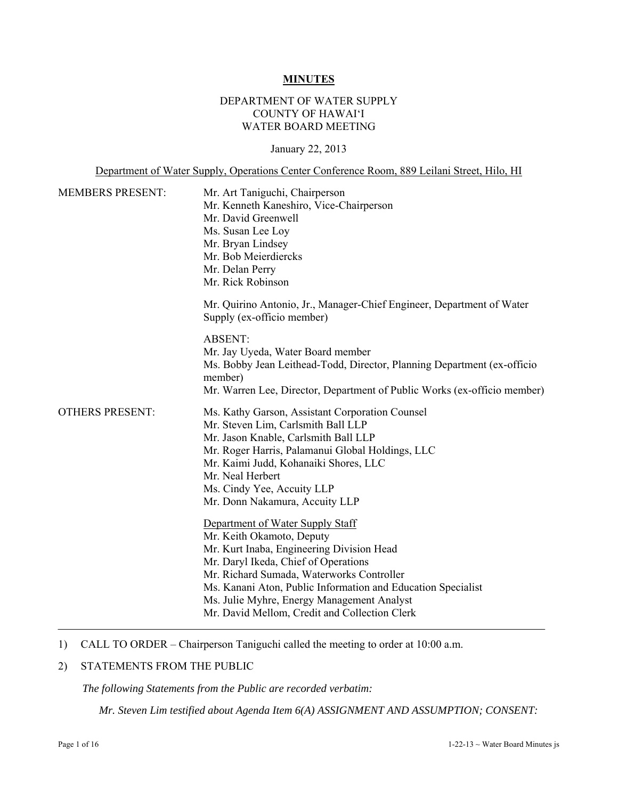#### **MINUTES**

# DEPARTMENT OF WATER SUPPLY COUNTY OF HAWAI'I WATER BOARD MEETING

January 22, 2013

Department of Water Supply, Operations Center Conference Room, 889 Leilani Street, Hilo, HI

| <b>MEMBERS PRESENT:</b> | Mr. Art Taniguchi, Chairperson<br>Mr. Kenneth Kaneshiro, Vice-Chairperson<br>Mr. David Greenwell<br>Ms. Susan Lee Loy<br>Mr. Bryan Lindsey<br>Mr. Bob Meierdiercks<br>Mr. Delan Perry<br>Mr. Rick Robinson                                                                                                                                                     |
|-------------------------|----------------------------------------------------------------------------------------------------------------------------------------------------------------------------------------------------------------------------------------------------------------------------------------------------------------------------------------------------------------|
|                         | Mr. Quirino Antonio, Jr., Manager-Chief Engineer, Department of Water<br>Supply (ex-officio member)                                                                                                                                                                                                                                                            |
|                         | <b>ABSENT:</b><br>Mr. Jay Uyeda, Water Board member<br>Ms. Bobby Jean Leithead-Todd, Director, Planning Department (ex-officio<br>member)<br>Mr. Warren Lee, Director, Department of Public Works (ex-officio member)                                                                                                                                          |
| <b>OTHERS PRESENT:</b>  | Ms. Kathy Garson, Assistant Corporation Counsel<br>Mr. Steven Lim, Carlsmith Ball LLP<br>Mr. Jason Knable, Carlsmith Ball LLP<br>Mr. Roger Harris, Palamanui Global Holdings, LLC<br>Mr. Kaimi Judd, Kohanaiki Shores, LLC<br>Mr. Neal Herbert<br>Ms. Cindy Yee, Accuity LLP<br>Mr. Donn Nakamura, Accuity LLP                                                 |
|                         | Department of Water Supply Staff<br>Mr. Keith Okamoto, Deputy<br>Mr. Kurt Inaba, Engineering Division Head<br>Mr. Daryl Ikeda, Chief of Operations<br>Mr. Richard Sumada, Waterworks Controller<br>Ms. Kanani Aton, Public Information and Education Specialist<br>Ms. Julie Myhre, Energy Management Analyst<br>Mr. David Mellom, Credit and Collection Clerk |

1) CALL TO ORDER – Chairperson Taniguchi called the meeting to order at 10:00 a.m.

# 2) STATEMENTS FROM THE PUBLIC

*The following Statements from the Public are recorded verbatim:* 

*Mr. Steven Lim testified about Agenda Item 6(A) ASSIGNMENT AND ASSUMPTION; CONSENT:*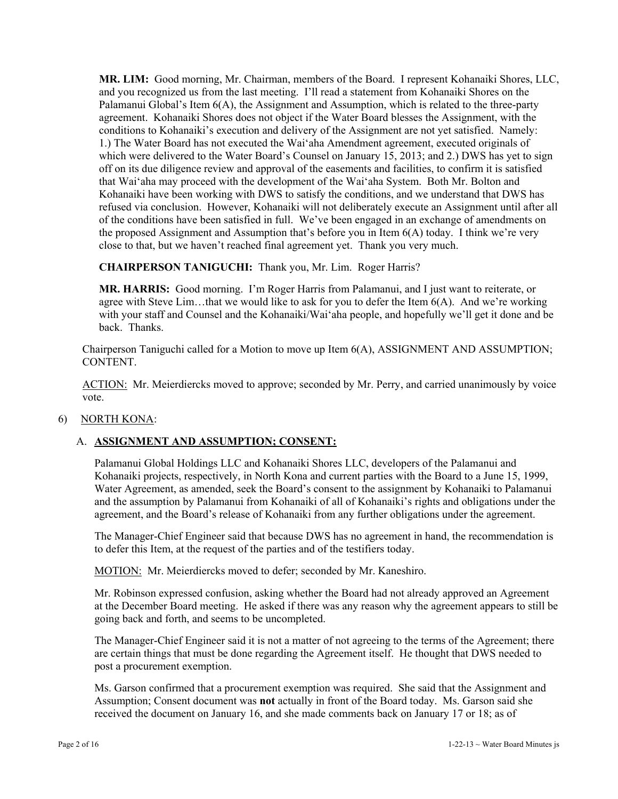**MR. LIM:** Good morning, Mr. Chairman, members of the Board. I represent Kohanaiki Shores, LLC, and you recognized us from the last meeting. I'll read a statement from Kohanaiki Shores on the Palamanui Global's Item 6(A), the Assignment and Assumption, which is related to the three-party agreement. Kohanaiki Shores does not object if the Water Board blesses the Assignment, with the conditions to Kohanaiki's execution and delivery of the Assignment are not yet satisfied. Namely: 1.) The Water Board has not executed the Wai'aha Amendment agreement, executed originals of which were delivered to the Water Board's Counsel on January 15, 2013; and 2.) DWS has yet to sign off on its due diligence review and approval of the easements and facilities, to confirm it is satisfied that Wai'aha may proceed with the development of the Wai'aha System. Both Mr. Bolton and Kohanaiki have been working with DWS to satisfy the conditions, and we understand that DWS has refused via conclusion. However, Kohanaiki will not deliberately execute an Assignment until after all of the conditions have been satisfied in full. We've been engaged in an exchange of amendments on the proposed Assignment and Assumption that's before you in Item 6(A) today. I think we're very close to that, but we haven't reached final agreement yet. Thank you very much.

**CHAIRPERSON TANIGUCHI:** Thank you, Mr. Lim. Roger Harris?

**MR. HARRIS:** Good morning. I'm Roger Harris from Palamanui, and I just want to reiterate, or agree with Steve Lim...that we would like to ask for you to defer the Item  $6(A)$ . And we're working with your staff and Counsel and the Kohanaiki/Wai'aha people, and hopefully we'll get it done and be back. Thanks.

Chairperson Taniguchi called for a Motion to move up Item 6(A), ASSIGNMENT AND ASSUMPTION; CONTENT.

ACTION: Mr. Meierdiercks moved to approve; seconded by Mr. Perry, and carried unanimously by voice vote.

# 6) NORTH KONA:

# A. **ASSIGNMENT AND ASSUMPTION; CONSENT:**

Palamanui Global Holdings LLC and Kohanaiki Shores LLC, developers of the Palamanui and Kohanaiki projects, respectively, in North Kona and current parties with the Board to a June 15, 1999, Water Agreement, as amended, seek the Board's consent to the assignment by Kohanaiki to Palamanui and the assumption by Palamanui from Kohanaiki of all of Kohanaiki's rights and obligations under the agreement, and the Board's release of Kohanaiki from any further obligations under the agreement.

The Manager-Chief Engineer said that because DWS has no agreement in hand, the recommendation is to defer this Item, at the request of the parties and of the testifiers today.

MOTION: Mr. Meierdiercks moved to defer; seconded by Mr. Kaneshiro.

Mr. Robinson expressed confusion, asking whether the Board had not already approved an Agreement at the December Board meeting. He asked if there was any reason why the agreement appears to still be going back and forth, and seems to be uncompleted.

The Manager-Chief Engineer said it is not a matter of not agreeing to the terms of the Agreement; there are certain things that must be done regarding the Agreement itself. He thought that DWS needed to post a procurement exemption.

Ms. Garson confirmed that a procurement exemption was required. She said that the Assignment and Assumption; Consent document was **not** actually in front of the Board today. Ms. Garson said she received the document on January 16, and she made comments back on January 17 or 18; as of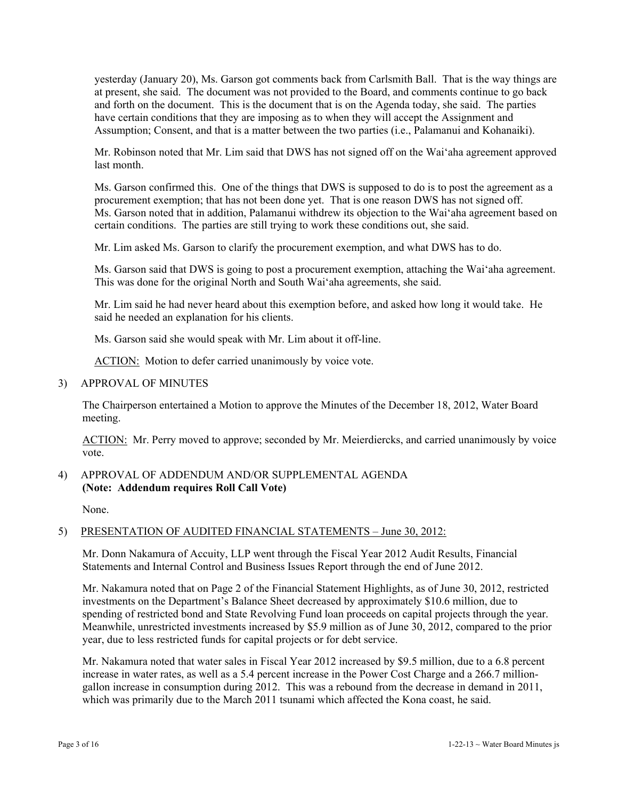yesterday (January 20), Ms. Garson got comments back from Carlsmith Ball. That is the way things are at present, she said. The document was not provided to the Board, and comments continue to go back and forth on the document. This is the document that is on the Agenda today, she said. The parties have certain conditions that they are imposing as to when they will accept the Assignment and Assumption; Consent, and that is a matter between the two parties (i.e., Palamanui and Kohanaiki).

Mr. Robinson noted that Mr. Lim said that DWS has not signed off on the Wai'aha agreement approved last month.

Ms. Garson confirmed this. One of the things that DWS is supposed to do is to post the agreement as a procurement exemption; that has not been done yet. That is one reason DWS has not signed off. Ms. Garson noted that in addition, Palamanui withdrew its objection to the Wai'aha agreement based on certain conditions. The parties are still trying to work these conditions out, she said.

Mr. Lim asked Ms. Garson to clarify the procurement exemption, and what DWS has to do.

Ms. Garson said that DWS is going to post a procurement exemption, attaching the Wai'aha agreement. This was done for the original North and South Wai'aha agreements, she said.

Mr. Lim said he had never heard about this exemption before, and asked how long it would take. He said he needed an explanation for his clients.

Ms. Garson said she would speak with Mr. Lim about it off-line.

ACTION: Motion to defer carried unanimously by voice vote.

3) APPROVAL OF MINUTES

The Chairperson entertained a Motion to approve the Minutes of the December 18, 2012, Water Board meeting.

ACTION: Mr. Perry moved to approve; seconded by Mr. Meierdiercks, and carried unanimously by voice vote.

# 4) APPROVAL OF ADDENDUM AND/OR SUPPLEMENTAL AGENDA **(Note: Addendum requires Roll Call Vote)**

None.

# 5) PRESENTATION OF AUDITED FINANCIAL STATEMENTS – June 30, 2012:

Mr. Donn Nakamura of Accuity, LLP went through the Fiscal Year 2012 Audit Results, Financial Statements and Internal Control and Business Issues Report through the end of June 2012.

Mr. Nakamura noted that on Page 2 of the Financial Statement Highlights, as of June 30, 2012, restricted investments on the Department's Balance Sheet decreased by approximately \$10.6 million, due to spending of restricted bond and State Revolving Fund loan proceeds on capital projects through the year. Meanwhile, unrestricted investments increased by \$5.9 million as of June 30, 2012, compared to the prior year, due to less restricted funds for capital projects or for debt service.

Mr. Nakamura noted that water sales in Fiscal Year 2012 increased by \$9.5 million, due to a 6.8 percent increase in water rates, as well as a 5.4 percent increase in the Power Cost Charge and a 266.7 milliongallon increase in consumption during 2012. This was a rebound from the decrease in demand in 2011, which was primarily due to the March 2011 tsunami which affected the Kona coast, he said.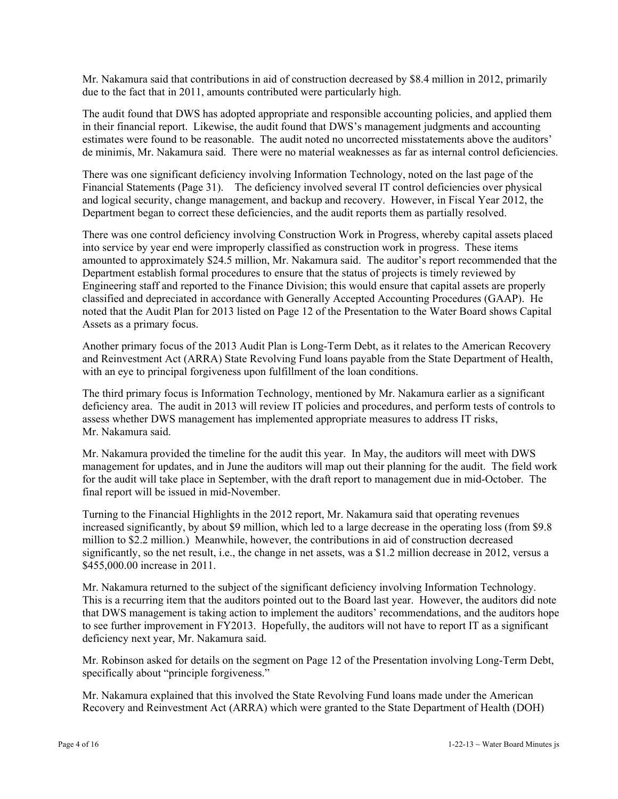Mr. Nakamura said that contributions in aid of construction decreased by \$8.4 million in 2012, primarily due to the fact that in 2011, amounts contributed were particularly high.

The audit found that DWS has adopted appropriate and responsible accounting policies, and applied them in their financial report. Likewise, the audit found that DWS's management judgments and accounting estimates were found to be reasonable. The audit noted no uncorrected misstatements above the auditors' de minimis, Mr. Nakamura said. There were no material weaknesses as far as internal control deficiencies.

There was one significant deficiency involving Information Technology, noted on the last page of the Financial Statements (Page 31). The deficiency involved several IT control deficiencies over physical and logical security, change management, and backup and recovery. However, in Fiscal Year 2012, the Department began to correct these deficiencies, and the audit reports them as partially resolved.

There was one control deficiency involving Construction Work in Progress, whereby capital assets placed into service by year end were improperly classified as construction work in progress. These items amounted to approximately \$24.5 million, Mr. Nakamura said. The auditor's report recommended that the Department establish formal procedures to ensure that the status of projects is timely reviewed by Engineering staff and reported to the Finance Division; this would ensure that capital assets are properly classified and depreciated in accordance with Generally Accepted Accounting Procedures (GAAP). He noted that the Audit Plan for 2013 listed on Page 12 of the Presentation to the Water Board shows Capital Assets as a primary focus.

Another primary focus of the 2013 Audit Plan is Long-Term Debt, as it relates to the American Recovery and Reinvestment Act (ARRA) State Revolving Fund loans payable from the State Department of Health, with an eye to principal forgiveness upon fulfillment of the loan conditions.

The third primary focus is Information Technology, mentioned by Mr. Nakamura earlier as a significant deficiency area. The audit in 2013 will review IT policies and procedures, and perform tests of controls to assess whether DWS management has implemented appropriate measures to address IT risks, Mr. Nakamura said.

Mr. Nakamura provided the timeline for the audit this year. In May, the auditors will meet with DWS management for updates, and in June the auditors will map out their planning for the audit. The field work for the audit will take place in September, with the draft report to management due in mid-October. The final report will be issued in mid-November.

Turning to the Financial Highlights in the 2012 report, Mr. Nakamura said that operating revenues increased significantly, by about \$9 million, which led to a large decrease in the operating loss (from \$9.8 million to \$2.2 million.) Meanwhile, however, the contributions in aid of construction decreased significantly, so the net result, i.e., the change in net assets, was a \$1.2 million decrease in 2012, versus a \$455,000.00 increase in 2011.

Mr. Nakamura returned to the subject of the significant deficiency involving Information Technology. This is a recurring item that the auditors pointed out to the Board last year. However, the auditors did note that DWS management is taking action to implement the auditors' recommendations, and the auditors hope to see further improvement in FY2013. Hopefully, the auditors will not have to report IT as a significant deficiency next year, Mr. Nakamura said.

Mr. Robinson asked for details on the segment on Page 12 of the Presentation involving Long-Term Debt, specifically about "principle forgiveness."

Mr. Nakamura explained that this involved the State Revolving Fund loans made under the American Recovery and Reinvestment Act (ARRA) which were granted to the State Department of Health (DOH)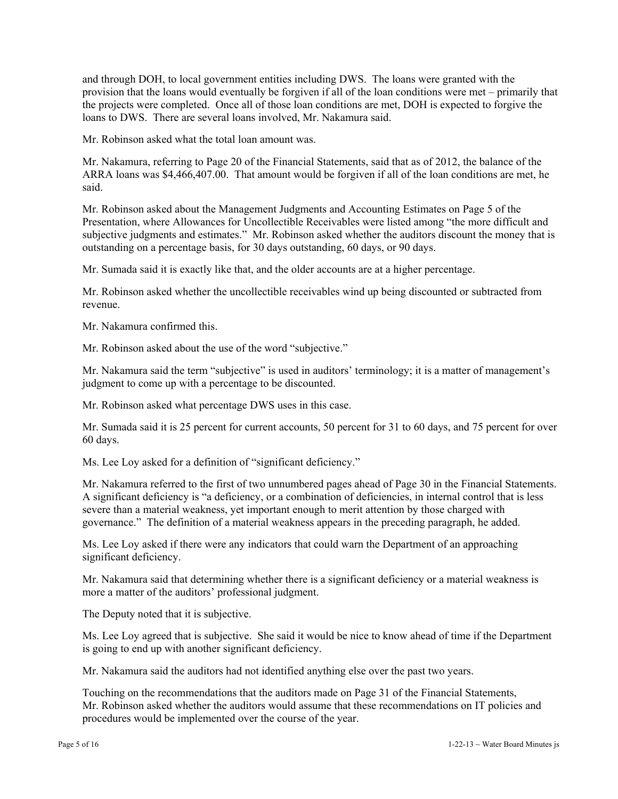and through DOH, to local government entities including DWS. The loans were granted with the provision that the loans would eventually be forgiven if all of the loan conditions were met – primarily that the projects were completed. Once all of those loan conditions are met, DOH is expected to forgive the loans to DWS. There are several loans involved, Mr. Nakamura said.

Mr. Robinson asked what the total loan amount was.

Mr. Nakamura, referring to Page 20 of the Financial Statements, said that as of 2012, the balance of the ARRA loans was \$4,466,407.00. That amount would be forgiven if all of the loan conditions are met, he said.

Mr. Robinson asked about the Management Judgments and Accounting Estimates on Page 5 of the Presentation, where Allowances for Uncollectible Receivables were listed among "the more difficult and subjective judgments and estimates." Mr. Robinson asked whether the auditors discount the money that is outstanding on a percentage basis, for 30 days outstanding, 60 days, or 90 days.

Mr. Sumada said it is exactly like that, and the older accounts are at a higher percentage.

Mr. Robinson asked whether the uncollectible receivables wind up being discounted or subtracted from revenue.

Mr. Nakamura confirmed this.

Mr. Robinson asked about the use of the word "subjective."

Mr. Nakamura said the term "subjective" is used in auditors' terminology; it is a matter of management's judgment to come up with a percentage to be discounted.

Mr. Robinson asked what percentage DWS uses in this case.

Mr. Sumada said it is 25 percent for current accounts, 50 percent for 31 to 60 days, and 75 percent for over 60 days.

Ms. Lee Loy asked for a definition of "significant deficiency."

Mr. Nakamura referred to the first of two unnumbered pages ahead of Page 30 in the Financial Statements. A significant deficiency is "a deficiency, or a combination of deficiencies, in internal control that is less severe than a material weakness, yet important enough to merit attention by those charged with governance." The definition of a material weakness appears in the preceding paragraph, he added.

Ms. Lee Loy asked if there were any indicators that could warn the Department of an approaching significant deficiency.

Mr. Nakamura said that determining whether there is a significant deficiency or a material weakness is more a matter of the auditors' professional judgment.

The Deputy noted that it is subjective.

Ms. Lee Loy agreed that is subjective. She said it would be nice to know ahead of time if the Department is going to end up with another significant deficiency.

Mr. Nakamura said the auditors had not identified anything else over the past two years.

Touching on the recommendations that the auditors made on Page 31 of the Financial Statements, Mr. Robinson asked whether the auditors would assume that these recommendations on IT policies and procedures would be implemented over the course of the year.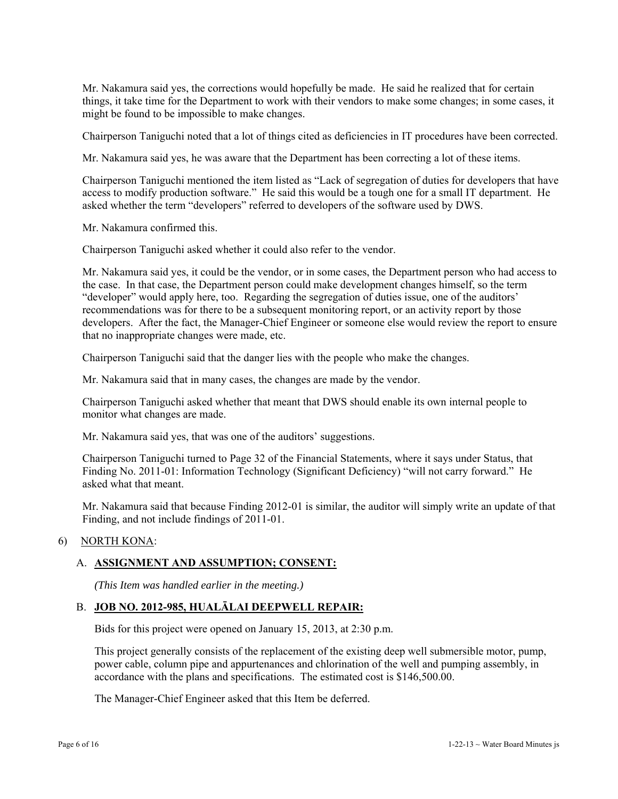Mr. Nakamura said yes, the corrections would hopefully be made. He said he realized that for certain things, it take time for the Department to work with their vendors to make some changes; in some cases, it might be found to be impossible to make changes.

Chairperson Taniguchi noted that a lot of things cited as deficiencies in IT procedures have been corrected.

Mr. Nakamura said yes, he was aware that the Department has been correcting a lot of these items.

Chairperson Taniguchi mentioned the item listed as "Lack of segregation of duties for developers that have access to modify production software." He said this would be a tough one for a small IT department. He asked whether the term "developers" referred to developers of the software used by DWS.

Mr. Nakamura confirmed this.

Chairperson Taniguchi asked whether it could also refer to the vendor.

Mr. Nakamura said yes, it could be the vendor, or in some cases, the Department person who had access to the case. In that case, the Department person could make development changes himself, so the term "developer" would apply here, too. Regarding the segregation of duties issue, one of the auditors' recommendations was for there to be a subsequent monitoring report, or an activity report by those developers. After the fact, the Manager-Chief Engineer or someone else would review the report to ensure that no inappropriate changes were made, etc.

Chairperson Taniguchi said that the danger lies with the people who make the changes.

Mr. Nakamura said that in many cases, the changes are made by the vendor.

Chairperson Taniguchi asked whether that meant that DWS should enable its own internal people to monitor what changes are made.

Mr. Nakamura said yes, that was one of the auditors' suggestions.

Chairperson Taniguchi turned to Page 32 of the Financial Statements, where it says under Status, that Finding No. 2011-01: Information Technology (Significant Deficiency) "will not carry forward." He asked what that meant.

Mr. Nakamura said that because Finding 2012-01 is similar, the auditor will simply write an update of that Finding, and not include findings of 2011-01.

# 6) NORTH KONA:

# A. **ASSIGNMENT AND ASSUMPTION; CONSENT:**

*(This Item was handled earlier in the meeting.)* 

# B. **JOB NO. 2012-985, HUALĀLAI DEEPWELL REPAIR:**

Bids for this project were opened on January 15, 2013, at 2:30 p.m.

This project generally consists of the replacement of the existing deep well submersible motor, pump, power cable, column pipe and appurtenances and chlorination of the well and pumping assembly, in accordance with the plans and specifications. The estimated cost is \$146,500.00.

The Manager-Chief Engineer asked that this Item be deferred.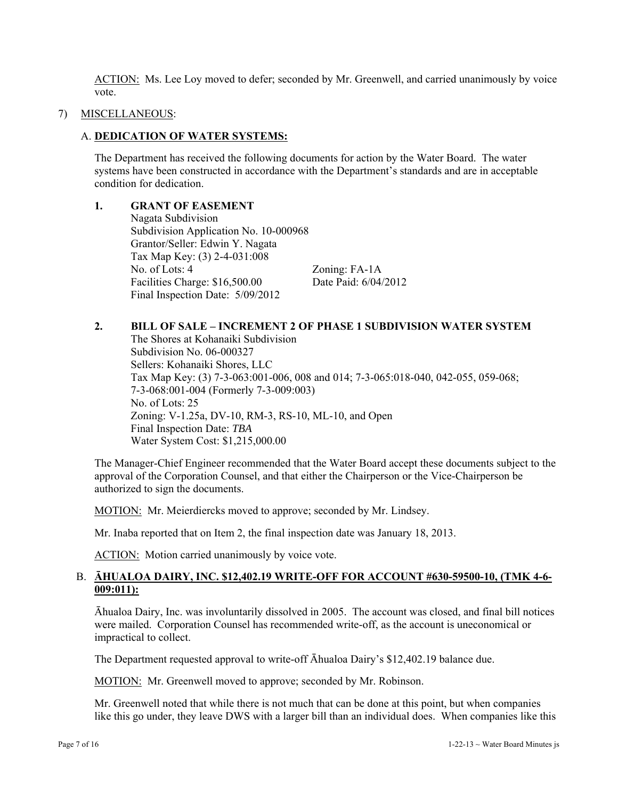ACTION: Ms. Lee Loy moved to defer; seconded by Mr. Greenwell, and carried unanimously by voice vote.

#### 7) MISCELLANEOUS:

#### A. **DEDICATION OF WATER SYSTEMS:**

The Department has received the following documents for action by the Water Board. The water systems have been constructed in accordance with the Department's standards and are in acceptable condition for dedication.

#### **1. GRANT OF EASEMENT**

 Nagata Subdivision Subdivision Application No. 10-000968 Grantor/Seller: Edwin Y. Nagata Tax Map Key: (3) 2-4-031:008 No. of Lots: 4 Zoning: FA-1A Facilities Charge: \$16,500.00 Date Paid: 6/04/2012 Final Inspection Date: 5/09/2012

#### **2. BILL OF SALE – INCREMENT 2 OF PHASE 1 SUBDIVISION WATER SYSTEM**

 The Shores at Kohanaiki Subdivision Subdivision No. 06-000327 Sellers: Kohanaiki Shores, LLC Tax Map Key: (3) 7-3-063:001-006, 008 and 014; 7-3-065:018-040, 042-055, 059-068; 7-3-068:001-004 (Formerly 7-3-009:003) No. of Lots: 25 Zoning: V-1.25a, DV-10, RM-3, RS-10, ML-10, and Open Final Inspection Date: *TBA* Water System Cost: \$1,215,000.00

The Manager-Chief Engineer recommended that the Water Board accept these documents subject to the approval of the Corporation Counsel, and that either the Chairperson or the Vice-Chairperson be authorized to sign the documents.

MOTION: Mr. Meierdiercks moved to approve; seconded by Mr. Lindsey.

Mr. Inaba reported that on Item 2, the final inspection date was January 18, 2013.

ACTION: Motion carried unanimously by voice vote.

# B. **ĀHUALOA DAIRY, INC. \$12,402.19 WRITE-OFF FOR ACCOUNT #630-59500-10, (TMK 4-6- 009:011):**

Āhualoa Dairy, Inc. was involuntarily dissolved in 2005. The account was closed, and final bill notices were mailed. Corporation Counsel has recommended write-off, as the account is uneconomical or impractical to collect.

The Department requested approval to write-off Āhualoa Dairy's \$12,402.19 balance due.

MOTION: Mr. Greenwell moved to approve; seconded by Mr. Robinson.

Mr. Greenwell noted that while there is not much that can be done at this point, but when companies like this go under, they leave DWS with a larger bill than an individual does. When companies like this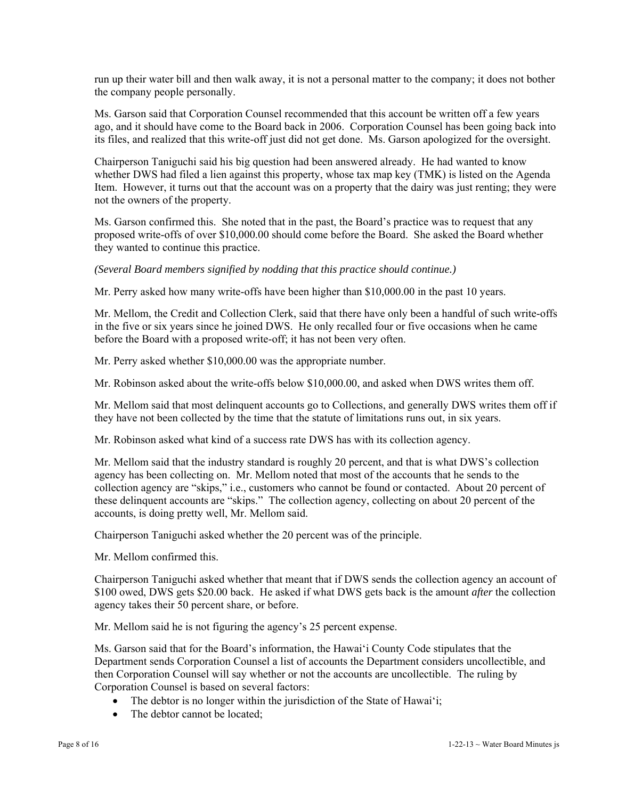run up their water bill and then walk away, it is not a personal matter to the company; it does not bother the company people personally.

Ms. Garson said that Corporation Counsel recommended that this account be written off a few years ago, and it should have come to the Board back in 2006. Corporation Counsel has been going back into its files, and realized that this write-off just did not get done. Ms. Garson apologized for the oversight.

Chairperson Taniguchi said his big question had been answered already. He had wanted to know whether DWS had filed a lien against this property, whose tax map key (TMK) is listed on the Agenda Item. However, it turns out that the account was on a property that the dairy was just renting; they were not the owners of the property.

Ms. Garson confirmed this. She noted that in the past, the Board's practice was to request that any proposed write-offs of over \$10,000.00 should come before the Board. She asked the Board whether they wanted to continue this practice.

*(Several Board members signified by nodding that this practice should continue.)* 

Mr. Perry asked how many write-offs have been higher than \$10,000.00 in the past 10 years.

Mr. Mellom, the Credit and Collection Clerk, said that there have only been a handful of such write-offs in the five or six years since he joined DWS. He only recalled four or five occasions when he came before the Board with a proposed write-off; it has not been very often.

Mr. Perry asked whether \$10,000.00 was the appropriate number.

Mr. Robinson asked about the write-offs below \$10,000.00, and asked when DWS writes them off.

Mr. Mellom said that most delinquent accounts go to Collections, and generally DWS writes them off if they have not been collected by the time that the statute of limitations runs out, in six years.

Mr. Robinson asked what kind of a success rate DWS has with its collection agency.

Mr. Mellom said that the industry standard is roughly 20 percent, and that is what DWS's collection agency has been collecting on. Mr. Mellom noted that most of the accounts that he sends to the collection agency are "skips," i.e., customers who cannot be found or contacted. About 20 percent of these delinquent accounts are "skips." The collection agency, collecting on about 20 percent of the accounts, is doing pretty well, Mr. Mellom said.

Chairperson Taniguchi asked whether the 20 percent was of the principle.

Mr. Mellom confirmed this.

Chairperson Taniguchi asked whether that meant that if DWS sends the collection agency an account of \$100 owed, DWS gets \$20.00 back. He asked if what DWS gets back is the amount *after* the collection agency takes their 50 percent share, or before.

Mr. Mellom said he is not figuring the agency's 25 percent expense.

Ms. Garson said that for the Board's information, the Hawai'i County Code stipulates that the Department sends Corporation Counsel a list of accounts the Department considers uncollectible, and then Corporation Counsel will say whether or not the accounts are uncollectible. The ruling by Corporation Counsel is based on several factors:

- The debtor is no longer within the jurisdiction of the State of Hawai'i;
- The debtor cannot be located;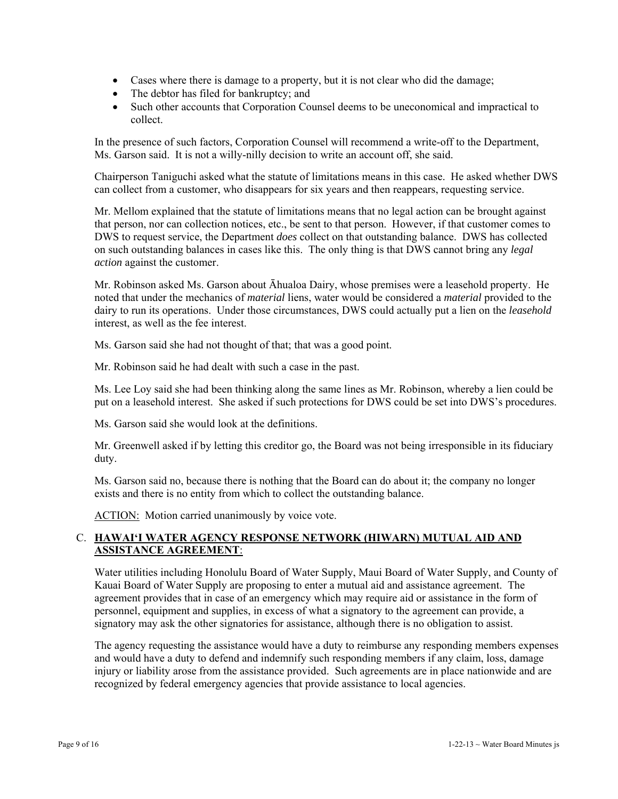- Cases where there is damage to a property, but it is not clear who did the damage;
- The debtor has filed for bankruptcy; and
- Such other accounts that Corporation Counsel deems to be uneconomical and impractical to collect.

In the presence of such factors, Corporation Counsel will recommend a write-off to the Department, Ms. Garson said. It is not a willy-nilly decision to write an account off, she said.

Chairperson Taniguchi asked what the statute of limitations means in this case. He asked whether DWS can collect from a customer, who disappears for six years and then reappears, requesting service.

Mr. Mellom explained that the statute of limitations means that no legal action can be brought against that person, nor can collection notices, etc., be sent to that person. However, if that customer comes to DWS to request service, the Department *does* collect on that outstanding balance. DWS has collected on such outstanding balances in cases like this. The only thing is that DWS cannot bring any *legal action* against the customer.

Mr. Robinson asked Ms. Garson about Āhualoa Dairy, whose premises were a leasehold property. He noted that under the mechanics of *material* liens, water would be considered a *material* provided to the dairy to run its operations. Under those circumstances, DWS could actually put a lien on the *leasehold* interest, as well as the fee interest.

Ms. Garson said she had not thought of that; that was a good point.

Mr. Robinson said he had dealt with such a case in the past.

Ms. Lee Loy said she had been thinking along the same lines as Mr. Robinson, whereby a lien could be put on a leasehold interest. She asked if such protections for DWS could be set into DWS's procedures.

Ms. Garson said she would look at the definitions.

Mr. Greenwell asked if by letting this creditor go, the Board was not being irresponsible in its fiduciary duty.

Ms. Garson said no, because there is nothing that the Board can do about it; the company no longer exists and there is no entity from which to collect the outstanding balance.

ACTION: Motion carried unanimously by voice vote.

# C. **HAWAI'I WATER AGENCY RESPONSE NETWORK (HIWARN) MUTUAL AID AND ASSISTANCE AGREEMENT**:

Water utilities including Honolulu Board of Water Supply, Maui Board of Water Supply, and County of Kauai Board of Water Supply are proposing to enter a mutual aid and assistance agreement. The agreement provides that in case of an emergency which may require aid or assistance in the form of personnel, equipment and supplies, in excess of what a signatory to the agreement can provide, a signatory may ask the other signatories for assistance, although there is no obligation to assist.

The agency requesting the assistance would have a duty to reimburse any responding members expenses and would have a duty to defend and indemnify such responding members if any claim, loss, damage injury or liability arose from the assistance provided. Such agreements are in place nationwide and are recognized by federal emergency agencies that provide assistance to local agencies.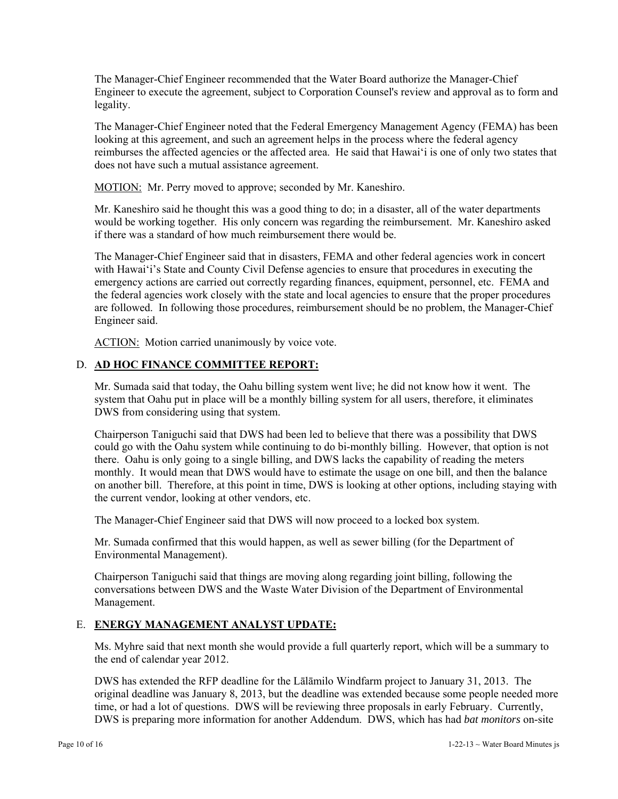The Manager-Chief Engineer recommended that the Water Board authorize the Manager-Chief Engineer to execute the agreement, subject to Corporation Counsel's review and approval as to form and legality.

The Manager-Chief Engineer noted that the Federal Emergency Management Agency (FEMA) has been looking at this agreement, and such an agreement helps in the process where the federal agency reimburses the affected agencies or the affected area. He said that Hawai'i is one of only two states that does not have such a mutual assistance agreement.

MOTION: Mr. Perry moved to approve; seconded by Mr. Kaneshiro.

Mr. Kaneshiro said he thought this was a good thing to do; in a disaster, all of the water departments would be working together. His only concern was regarding the reimbursement. Mr. Kaneshiro asked if there was a standard of how much reimbursement there would be.

The Manager-Chief Engineer said that in disasters, FEMA and other federal agencies work in concert with Hawai'i's State and County Civil Defense agencies to ensure that procedures in executing the emergency actions are carried out correctly regarding finances, equipment, personnel, etc. FEMA and the federal agencies work closely with the state and local agencies to ensure that the proper procedures are followed. In following those procedures, reimbursement should be no problem, the Manager-Chief Engineer said.

ACTION: Motion carried unanimously by voice vote.

# D. **AD HOC FINANCE COMMITTEE REPORT:**

Mr. Sumada said that today, the Oahu billing system went live; he did not know how it went. The system that Oahu put in place will be a monthly billing system for all users, therefore, it eliminates DWS from considering using that system.

Chairperson Taniguchi said that DWS had been led to believe that there was a possibility that DWS could go with the Oahu system while continuing to do bi-monthly billing. However, that option is not there. Oahu is only going to a single billing, and DWS lacks the capability of reading the meters monthly. It would mean that DWS would have to estimate the usage on one bill, and then the balance on another bill. Therefore, at this point in time, DWS is looking at other options, including staying with the current vendor, looking at other vendors, etc.

The Manager-Chief Engineer said that DWS will now proceed to a locked box system.

Mr. Sumada confirmed that this would happen, as well as sewer billing (for the Department of Environmental Management).

Chairperson Taniguchi said that things are moving along regarding joint billing, following the conversations between DWS and the Waste Water Division of the Department of Environmental Management.

# E. **ENERGY MANAGEMENT ANALYST UPDATE:**

Ms. Myhre said that next month she would provide a full quarterly report, which will be a summary to the end of calendar year 2012.

DWS has extended the RFP deadline for the Lālāmilo Windfarm project to January 31, 2013. The original deadline was January 8, 2013, but the deadline was extended because some people needed more time, or had a lot of questions. DWS will be reviewing three proposals in early February. Currently, DWS is preparing more information for another Addendum. DWS, which has had *bat monitors* on-site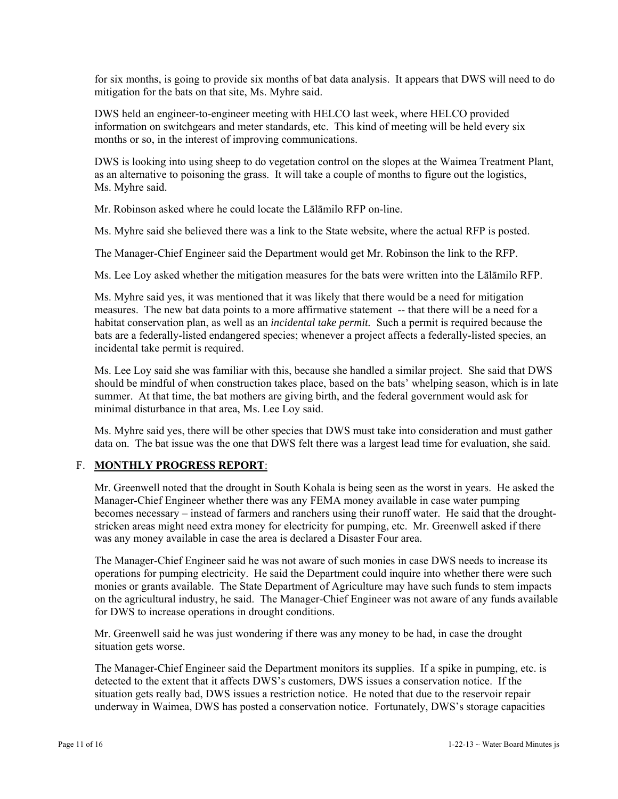for six months, is going to provide six months of bat data analysis. It appears that DWS will need to do mitigation for the bats on that site, Ms. Myhre said.

DWS held an engineer-to-engineer meeting with HELCO last week, where HELCO provided information on switchgears and meter standards, etc. This kind of meeting will be held every six months or so, in the interest of improving communications.

DWS is looking into using sheep to do vegetation control on the slopes at the Waimea Treatment Plant, as an alternative to poisoning the grass. It will take a couple of months to figure out the logistics, Ms. Myhre said.

Mr. Robinson asked where he could locate the Lālāmilo RFP on-line.

Ms. Myhre said she believed there was a link to the State website, where the actual RFP is posted.

The Manager-Chief Engineer said the Department would get Mr. Robinson the link to the RFP.

Ms. Lee Loy asked whether the mitigation measures for the bats were written into the Lālāmilo RFP.

Ms. Myhre said yes, it was mentioned that it was likely that there would be a need for mitigation measures. The new bat data points to a more affirmative statement -- that there will be a need for a habitat conservation plan, as well as an *incidental take permit.* Such a permit is required because the bats are a federally-listed endangered species; whenever a project affects a federally-listed species, an incidental take permit is required.

Ms. Lee Loy said she was familiar with this, because she handled a similar project. She said that DWS should be mindful of when construction takes place, based on the bats' whelping season, which is in late summer. At that time, the bat mothers are giving birth, and the federal government would ask for minimal disturbance in that area, Ms. Lee Loy said.

Ms. Myhre said yes, there will be other species that DWS must take into consideration and must gather data on. The bat issue was the one that DWS felt there was a largest lead time for evaluation, she said.

# F. **MONTHLY PROGRESS REPORT**:

Mr. Greenwell noted that the drought in South Kohala is being seen as the worst in years. He asked the Manager-Chief Engineer whether there was any FEMA money available in case water pumping becomes necessary – instead of farmers and ranchers using their runoff water. He said that the droughtstricken areas might need extra money for electricity for pumping, etc. Mr. Greenwell asked if there was any money available in case the area is declared a Disaster Four area.

The Manager-Chief Engineer said he was not aware of such monies in case DWS needs to increase its operations for pumping electricity. He said the Department could inquire into whether there were such monies or grants available. The State Department of Agriculture may have such funds to stem impacts on the agricultural industry, he said. The Manager-Chief Engineer was not aware of any funds available for DWS to increase operations in drought conditions.

Mr. Greenwell said he was just wondering if there was any money to be had, in case the drought situation gets worse.

The Manager-Chief Engineer said the Department monitors its supplies. If a spike in pumping, etc. is detected to the extent that it affects DWS's customers, DWS issues a conservation notice. If the situation gets really bad, DWS issues a restriction notice. He noted that due to the reservoir repair underway in Waimea, DWS has posted a conservation notice. Fortunately, DWS's storage capacities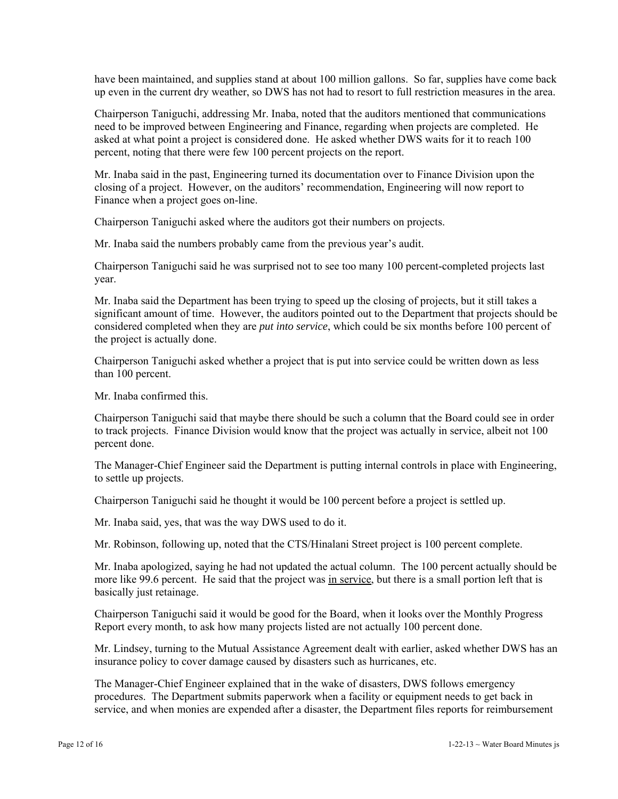have been maintained, and supplies stand at about 100 million gallons. So far, supplies have come back up even in the current dry weather, so DWS has not had to resort to full restriction measures in the area.

Chairperson Taniguchi, addressing Mr. Inaba, noted that the auditors mentioned that communications need to be improved between Engineering and Finance, regarding when projects are completed. He asked at what point a project is considered done. He asked whether DWS waits for it to reach 100 percent, noting that there were few 100 percent projects on the report.

Mr. Inaba said in the past, Engineering turned its documentation over to Finance Division upon the closing of a project. However, on the auditors' recommendation, Engineering will now report to Finance when a project goes on-line.

Chairperson Taniguchi asked where the auditors got their numbers on projects.

Mr. Inaba said the numbers probably came from the previous year's audit.

Chairperson Taniguchi said he was surprised not to see too many 100 percent-completed projects last year.

Mr. Inaba said the Department has been trying to speed up the closing of projects, but it still takes a significant amount of time. However, the auditors pointed out to the Department that projects should be considered completed when they are *put into service*, which could be six months before 100 percent of the project is actually done.

Chairperson Taniguchi asked whether a project that is put into service could be written down as less than 100 percent.

Mr. Inaba confirmed this.

Chairperson Taniguchi said that maybe there should be such a column that the Board could see in order to track projects. Finance Division would know that the project was actually in service, albeit not 100 percent done.

The Manager-Chief Engineer said the Department is putting internal controls in place with Engineering, to settle up projects.

Chairperson Taniguchi said he thought it would be 100 percent before a project is settled up.

Mr. Inaba said, yes, that was the way DWS used to do it.

Mr. Robinson, following up, noted that the CTS/Hinalani Street project is 100 percent complete.

Mr. Inaba apologized, saying he had not updated the actual column. The 100 percent actually should be more like 99.6 percent. He said that the project was in service, but there is a small portion left that is basically just retainage.

Chairperson Taniguchi said it would be good for the Board, when it looks over the Monthly Progress Report every month, to ask how many projects listed are not actually 100 percent done.

Mr. Lindsey, turning to the Mutual Assistance Agreement dealt with earlier, asked whether DWS has an insurance policy to cover damage caused by disasters such as hurricanes, etc.

The Manager-Chief Engineer explained that in the wake of disasters, DWS follows emergency procedures. The Department submits paperwork when a facility or equipment needs to get back in service, and when monies are expended after a disaster, the Department files reports for reimbursement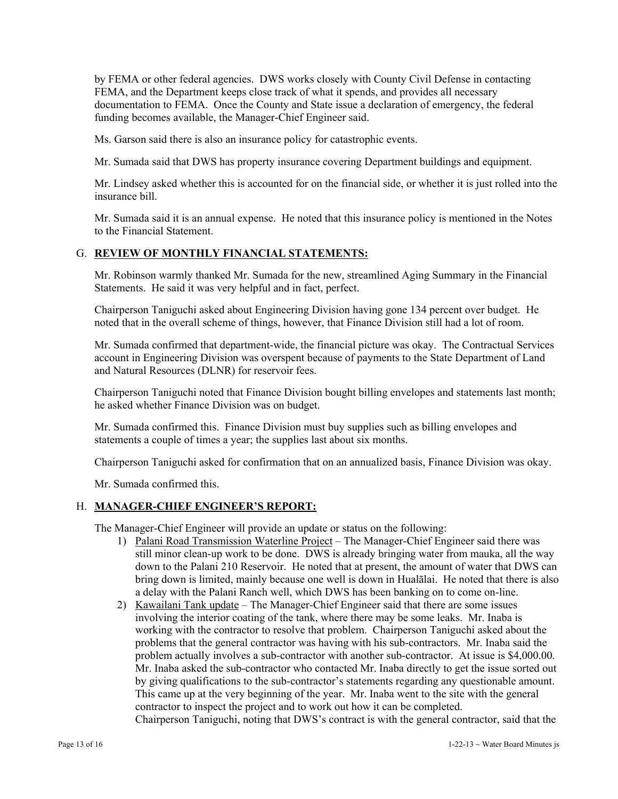by FEMA or other federal agencies. DWS works closely with County Civil Defense in contacting FEMA, and the Department keeps close track of what it spends, and provides all necessary documentation to FEMA. Once the County and State issue a declaration of emergency, the federal funding becomes available, the Manager-Chief Engineer said.

Ms. Garson said there is also an insurance policy for catastrophic events.

Mr. Sumada said that DWS has property insurance covering Department buildings and equipment.

Mr. Lindsey asked whether this is accounted for on the financial side, or whether it is just rolled into the insurance bill.

Mr. Sumada said it is an annual expense. He noted that this insurance policy is mentioned in the Notes to the Financial Statement.

#### G. **REVIEW OF MONTHLY FINANCIAL STATEMENTS:**

Mr. Robinson warmly thanked Mr. Sumada for the new, streamlined Aging Summary in the Financial Statements. He said it was very helpful and in fact, perfect.

Chairperson Taniguchi asked about Engineering Division having gone 134 percent over budget. He noted that in the overall scheme of things, however, that Finance Division still had a lot of room.

Mr. Sumada confirmed that department-wide, the financial picture was okay. The Contractual Services account in Engineering Division was overspent because of payments to the State Department of Land and Natural Resources (DLNR) for reservoir fees.

Chairperson Taniguchi noted that Finance Division bought billing envelopes and statements last month; he asked whether Finance Division was on budget.

Mr. Sumada confirmed this. Finance Division must buy supplies such as billing envelopes and statements a couple of times a year; the supplies last about six months.

Chairperson Taniguchi asked for confirmation that on an annualized basis, Finance Division was okay.

Mr. Sumada confirmed this.

#### H. **MANAGER-CHIEF ENGINEER'S REPORT:**

The Manager-Chief Engineer will provide an update or status on the following:

- 1) Palani Road Transmission Waterline Project The Manager-Chief Engineer said there was still minor clean-up work to be done. DWS is already bringing water from mauka, all the way down to the Palani 210 Reservoir. He noted that at present, the amount of water that DWS can bring down is limited, mainly because one well is down in Hualālai. He noted that there is also a delay with the Palani Ranch well, which DWS has been banking on to come on-line.
- 2) Kawailani Tank update The Manager-Chief Engineer said that there are some issues involving the interior coating of the tank, where there may be some leaks. Mr. Inaba is working with the contractor to resolve that problem. Chairperson Taniguchi asked about the problems that the general contractor was having with his sub-contractors. Mr. Inaba said the problem actually involves a sub-contractor with another sub-contractor. At issue is \$4,000.00. Mr. Inaba asked the sub-contractor who contacted Mr. Inaba directly to get the issue sorted out by giving qualifications to the sub-contractor's statements regarding any questionable amount. This came up at the very beginning of the year. Mr. Inaba went to the site with the general contractor to inspect the project and to work out how it can be completed.

Chairperson Taniguchi, noting that DWS's contract is with the general contractor, said that the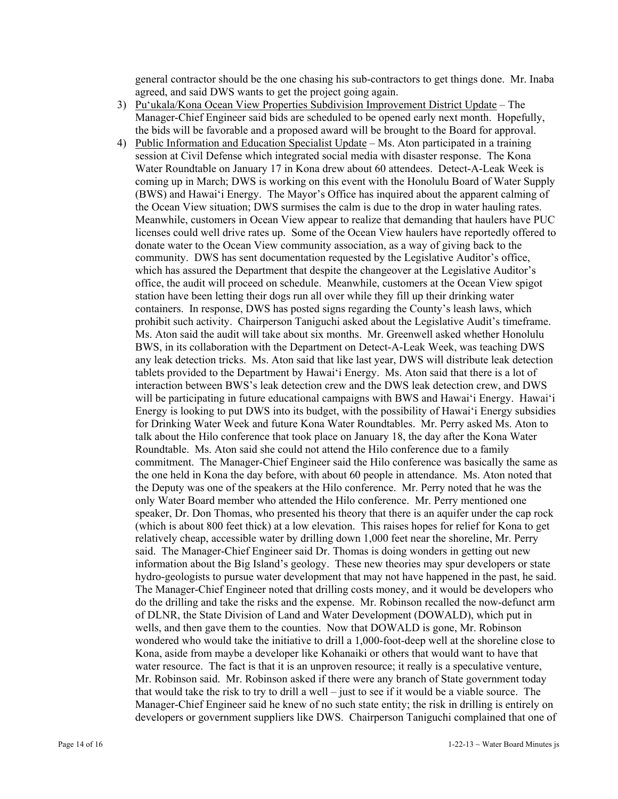general contractor should be the one chasing his sub-contractors to get things done. Mr. Inaba agreed, and said DWS wants to get the project going again.

- 3) Pu'ukala/Kona Ocean View Properties Subdivision Improvement District Update The Manager-Chief Engineer said bids are scheduled to be opened early next month. Hopefully, the bids will be favorable and a proposed award will be brought to the Board for approval.
- 4) Public Information and Education Specialist Update Ms. Aton participated in a training session at Civil Defense which integrated social media with disaster response. The Kona Water Roundtable on January 17 in Kona drew about 60 attendees. Detect-A-Leak Week is coming up in March; DWS is working on this event with the Honolulu Board of Water Supply (BWS) and Hawai'i Energy. The Mayor's Office has inquired about the apparent calming of the Ocean View situation; DWS surmises the calm is due to the drop in water hauling rates. Meanwhile, customers in Ocean View appear to realize that demanding that haulers have PUC licenses could well drive rates up. Some of the Ocean View haulers have reportedly offered to donate water to the Ocean View community association, as a way of giving back to the community. DWS has sent documentation requested by the Legislative Auditor's office, which has assured the Department that despite the changeover at the Legislative Auditor's office, the audit will proceed on schedule. Meanwhile, customers at the Ocean View spigot station have been letting their dogs run all over while they fill up their drinking water containers. In response, DWS has posted signs regarding the County's leash laws, which prohibit such activity. Chairperson Taniguchi asked about the Legislative Audit's timeframe. Ms. Aton said the audit will take about six months. Mr. Greenwell asked whether Honolulu BWS, in its collaboration with the Department on Detect-A-Leak Week, was teaching DWS any leak detection tricks. Ms. Aton said that like last year, DWS will distribute leak detection tablets provided to the Department by Hawai'i Energy. Ms. Aton said that there is a lot of interaction between BWS's leak detection crew and the DWS leak detection crew, and DWS will be participating in future educational campaigns with BWS and Hawai'i Energy. Hawai'i Energy is looking to put DWS into its budget, with the possibility of Hawai'i Energy subsidies for Drinking Water Week and future Kona Water Roundtables. Mr. Perry asked Ms. Aton to talk about the Hilo conference that took place on January 18, the day after the Kona Water Roundtable. Ms. Aton said she could not attend the Hilo conference due to a family commitment. The Manager-Chief Engineer said the Hilo conference was basically the same as the one held in Kona the day before, with about 60 people in attendance. Ms. Aton noted that the Deputy was one of the speakers at the Hilo conference. Mr. Perry noted that he was the only Water Board member who attended the Hilo conference. Mr. Perry mentioned one speaker, Dr. Don Thomas, who presented his theory that there is an aquifer under the cap rock (which is about 800 feet thick) at a low elevation. This raises hopes for relief for Kona to get relatively cheap, accessible water by drilling down 1,000 feet near the shoreline, Mr. Perry said. The Manager-Chief Engineer said Dr. Thomas is doing wonders in getting out new information about the Big Island's geology. These new theories may spur developers or state hydro-geologists to pursue water development that may not have happened in the past, he said. The Manager-Chief Engineer noted that drilling costs money, and it would be developers who do the drilling and take the risks and the expense. Mr. Robinson recalled the now-defunct arm of DLNR, the State Division of Land and Water Development (DOWALD), which put in wells, and then gave them to the counties. Now that DOWALD is gone, Mr. Robinson wondered who would take the initiative to drill a 1,000-foot-deep well at the shoreline close to Kona, aside from maybe a developer like Kohanaiki or others that would want to have that water resource. The fact is that it is an unproven resource; it really is a speculative venture, Mr. Robinson said. Mr. Robinson asked if there were any branch of State government today that would take the risk to try to drill a well – just to see if it would be a viable source. The Manager-Chief Engineer said he knew of no such state entity; the risk in drilling is entirely on developers or government suppliers like DWS. Chairperson Taniguchi complained that one of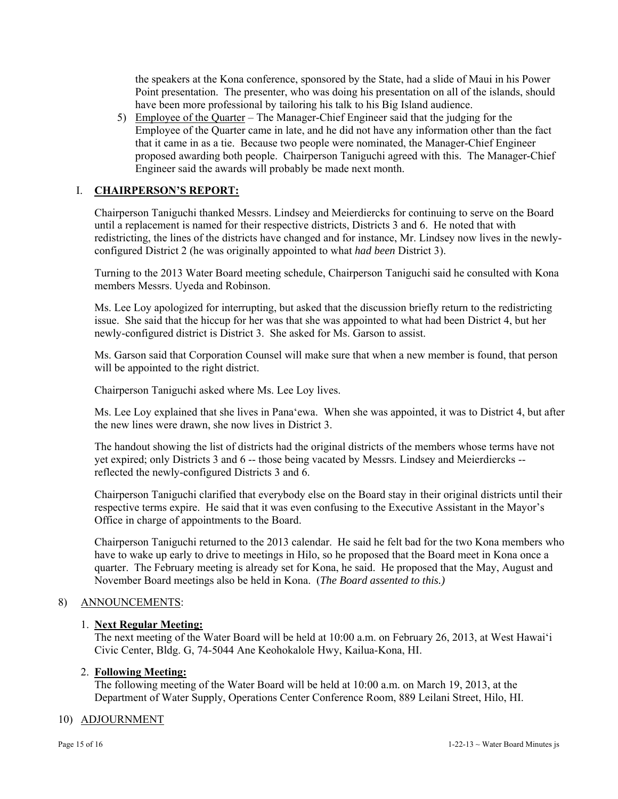the speakers at the Kona conference, sponsored by the State, had a slide of Maui in his Power Point presentation. The presenter, who was doing his presentation on all of the islands, should have been more professional by tailoring his talk to his Big Island audience.

5) Employee of the Quarter – The Manager-Chief Engineer said that the judging for the Employee of the Quarter came in late, and he did not have any information other than the fact that it came in as a tie. Because two people were nominated, the Manager-Chief Engineer proposed awarding both people. Chairperson Taniguchi agreed with this. The Manager-Chief Engineer said the awards will probably be made next month.

# I. **CHAIRPERSON'S REPORT:**

Chairperson Taniguchi thanked Messrs. Lindsey and Meierdiercks for continuing to serve on the Board until a replacement is named for their respective districts, Districts 3 and 6. He noted that with redistricting, the lines of the districts have changed and for instance, Mr. Lindsey now lives in the newlyconfigured District 2 (he was originally appointed to what *had been* District 3).

Turning to the 2013 Water Board meeting schedule, Chairperson Taniguchi said he consulted with Kona members Messrs. Uyeda and Robinson.

Ms. Lee Loy apologized for interrupting, but asked that the discussion briefly return to the redistricting issue. She said that the hiccup for her was that she was appointed to what had been District 4, but her newly-configured district is District 3. She asked for Ms. Garson to assist.

Ms. Garson said that Corporation Counsel will make sure that when a new member is found, that person will be appointed to the right district.

Chairperson Taniguchi asked where Ms. Lee Loy lives.

Ms. Lee Loy explained that she lives in Pana'ewa. When she was appointed, it was to District 4, but after the new lines were drawn, she now lives in District 3.

The handout showing the list of districts had the original districts of the members whose terms have not yet expired; only Districts 3 and 6 -- those being vacated by Messrs. Lindsey and Meierdiercks - reflected the newly-configured Districts 3 and 6.

Chairperson Taniguchi clarified that everybody else on the Board stay in their original districts until their respective terms expire. He said that it was even confusing to the Executive Assistant in the Mayor's Office in charge of appointments to the Board.

Chairperson Taniguchi returned to the 2013 calendar. He said he felt bad for the two Kona members who have to wake up early to drive to meetings in Hilo, so he proposed that the Board meet in Kona once a quarter. The February meeting is already set for Kona, he said. He proposed that the May, August and November Board meetings also be held in Kona. (*The Board assented to this.)* 

# 8) ANNOUNCEMENTS:

# 1. **Next Regular Meeting:**

The next meeting of the Water Board will be held at 10:00 a.m. on February 26, 2013, at West Hawai'i Civic Center, Bldg. G, 74-5044 Ane Keohokalole Hwy, Kailua-Kona, HI.

#### 2. **Following Meeting:**

The following meeting of the Water Board will be held at 10:00 a.m. on March 19, 2013, at the Department of Water Supply, Operations Center Conference Room, 889 Leilani Street, Hilo, HI.

#### 10) ADJOURNMENT